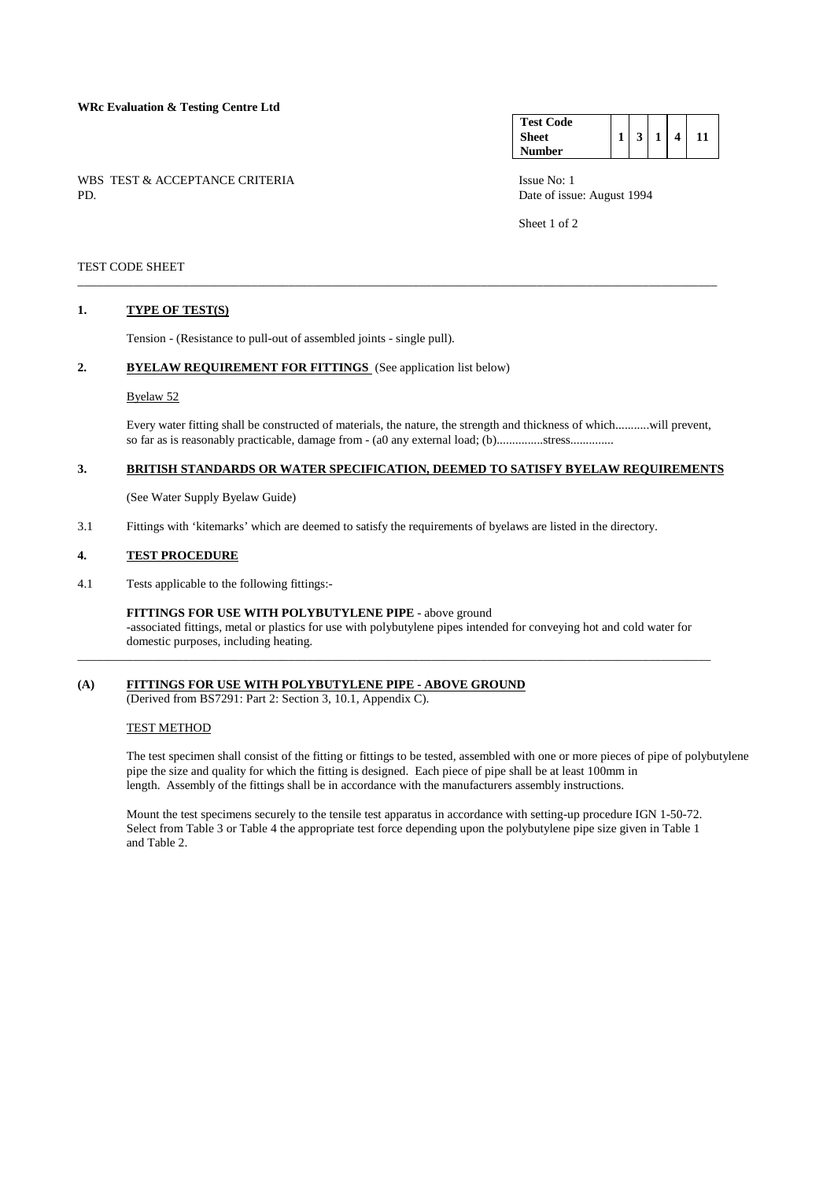### **WRc Evaluation & Testing Centre Ltd**

WBS TEST & ACCEPTANCE CRITERIA ISSUE No: 1<br>PD Date of issue

#### **Test Code Sheet Number 1 3 1 4 11**

Date of issue: August 1994

Sheet 1 of 2

### TEST CODE SHEET

### **1. TYPE OF TEST(S)**

Tension - (Resistance to pull-out of assembled joints - single pull).

### 2. BYELAW REQUIREMENT FOR FITTINGS (See application list below)

#### Byelaw 52

 Every water fitting shall be constructed of materials, the nature, the strength and thickness of which...........will prevent, so far as is reasonably practicable, damage from - (a0 any external load; (b)...............stress.............

### **3. BRITISH STANDARDS OR WATER SPECIFICATION, DEEMED TO SATISFY BYELAW REQUIREMENTS**

\_\_\_\_\_\_\_\_\_\_\_\_\_\_\_\_\_\_\_\_\_\_\_\_\_\_\_\_\_\_\_\_\_\_\_\_\_\_\_\_\_\_\_\_\_\_\_\_\_\_\_\_\_\_\_\_\_\_\_\_\_\_\_\_\_\_\_\_\_\_\_\_\_\_\_\_\_\_\_\_\_\_\_\_\_\_\_\_\_\_\_\_\_\_\_\_\_\_\_\_\_\_\_

(See Water Supply Byelaw Guide)

3.1 Fittings with 'kitemarks' which are deemed to satisfy the requirements of byelaws are listed in the directory.

### **4. TEST PROCEDURE**

4.1 Tests applicable to the following fittings:-

 **FITTINGS FOR USE WITH POLYBUTYLENE PIPE** - above ground -associated fittings, metal or plastics for use with polybutylene pipes intended for conveying hot and cold water for domestic purposes, including heating.

\_\_\_\_\_\_\_\_\_\_\_\_\_\_\_\_\_\_\_\_\_\_\_\_\_\_\_\_\_\_\_\_\_\_\_\_\_\_\_\_\_\_\_\_\_\_\_\_\_\_\_\_\_\_\_\_\_\_\_\_\_\_\_\_\_\_\_\_\_\_\_\_\_\_\_\_\_\_\_\_\_\_\_\_\_\_\_\_\_\_\_\_\_\_\_\_\_\_\_\_\_\_

# **(A) FITTINGS FOR USE WITH POLYBUTYLENE PIPE - ABOVE GROUND**

(Derived from BS7291: Part 2: Section 3, 10.1, Appendix C).

## TEST METHOD

 The test specimen shall consist of the fitting or fittings to be tested, assembled with one or more pieces of pipe of polybutylene pipe the size and quality for which the fitting is designed. Each piece of pipe shall be at least 100mm in length. Assembly of the fittings shall be in accordance with the manufacturers assembly instructions.

 Mount the test specimens securely to the tensile test apparatus in accordance with setting-up procedure IGN 1-50-72. Select from Table 3 or Table 4 the appropriate test force depending upon the polybutylene pipe size given in Table 1 and Table 2.